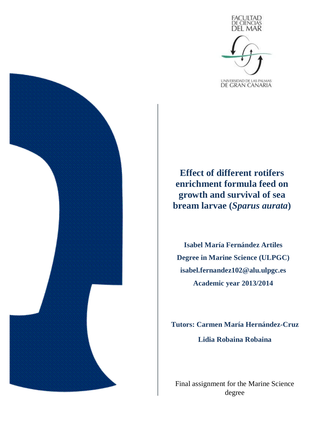

**Effect of different rotifers enrichment formula feed on growth and survival of sea bream larvae (***Sparus aurata***)** 

**Isabel María Fernández Artiles Degree in Marine Science (ULPGC) isabel.fernandez102@alu.ulpgc.es Academic year 2013/2014**

**Tutors: Carmen María Hernández-Cruz Lidia Robaina Robaina**

Final assignment for the Marine Science degree

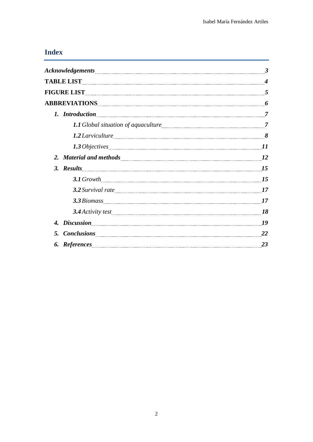# **Index**

|     | 1.2 Larviculture 38                                                                                                                                                                                                                 |    |
|-----|-------------------------------------------------------------------------------------------------------------------------------------------------------------------------------------------------------------------------------------|----|
|     |                                                                                                                                                                                                                                     |    |
|     | 2. Material and methods <u>material and methods</u> and the material material and methods material material and methods and methods and methods and methods and methods and methods are all methods and methods are methods and met |    |
|     |                                                                                                                                                                                                                                     |    |
|     |                                                                                                                                                                                                                                     |    |
|     |                                                                                                                                                                                                                                     |    |
|     | 3.3 Biomass 17                                                                                                                                                                                                                      |    |
|     | 3.4 Activity test 18                                                                                                                                                                                                                |    |
|     | 4. Discussion 19                                                                                                                                                                                                                    |    |
| .5. | Conclusions 22                                                                                                                                                                                                                      |    |
|     |                                                                                                                                                                                                                                     | 23 |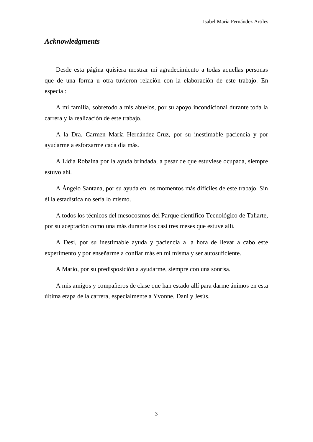### *Acknowledgments*

Desde esta página quisiera mostrar mi agradecimiento a todas aquellas personas que de una forma u otra tuvieron relación con la elaboración de este trabajo. En especial:

A mi familia, sobretodo a mis abuelos, por su apoyo incondicional durante toda la carrera y la realización de este trabajo.

A la Dra. Carmen María Hernández-Cruz, por su inestimable paciencia y por ayudarme a esforzarme cada día más.

A Lidia Robaina por la ayuda brindada, a pesar de que estuviese ocupada, siempre estuvo ahí.

A Ángelo Santana, por su ayuda en los momentos más difíciles de este trabajo. Sin él la estadística no sería lo mismo.

A todos los técnicos del mesocosmos del Parque científico Tecnológico de Taliarte, por su aceptación como una más durante los casi tres meses que estuve allí.

A Desi, por su inestimable ayuda y paciencia a la hora de llevar a cabo este experimento y por enseñarme a confiar más en mí misma y ser autosuficiente.

A Mario, por su predisposición a ayudarme, siempre con una sonrisa.

A mis amigos y compañeros de clase que han estado allí para darme ánimos en esta última etapa de la carrera, especialmente a Yvonne, Dani y Jesús.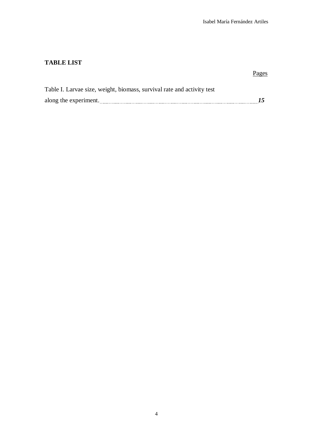## **TABLE LIST**

#### Pages **Pages**

| Table I. Larvae size, weight, biomass, survival rate and activity test |  |
|------------------------------------------------------------------------|--|
| along the experiment.                                                  |  |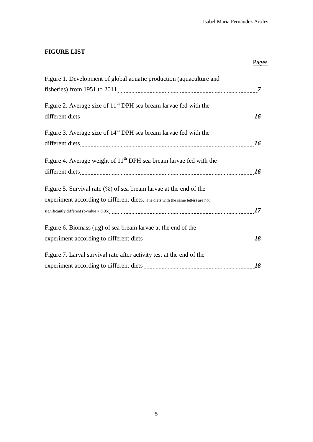# **FIGURE LIST**

| Figure 1. Development of global aquatic production (aquaculture and              |    |
|----------------------------------------------------------------------------------|----|
|                                                                                  |    |
| Figure 2. Average size of $11th$ DPH sea bream larvae fed with the               |    |
|                                                                                  | 16 |
| Figure 3. Average size of $14th$ DPH sea bream larvae fed with the               |    |
|                                                                                  | 16 |
| Figure 4. Average weight of $11th$ DPH sea bream larvae fed with the             |    |
|                                                                                  |    |
| Figure 5. Survival rate (%) of sea bream larvae at the end of the                |    |
| experiment according to different diets. The diets with the same letters are not |    |
|                                                                                  |    |
| Figure 6. Biomass $(\mu g)$ of sea bream larvae at the end of the                |    |
|                                                                                  |    |
| Figure 7. Larval survival rate after activity test at the end of the             |    |
|                                                                                  | 18 |

Pages **Pages**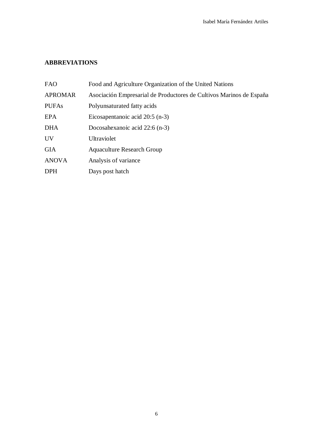# **ABBREVIATIONS**

| <b>FAO</b>     | Food and Agriculture Organization of the United Nations             |
|----------------|---------------------------------------------------------------------|
| <b>APROMAR</b> | Asociación Empresarial de Productores de Cultivos Marinos de España |
| <b>PUFAs</b>   | Polyunsaturated fatty acids                                         |
| <b>EPA</b>     | Eicosapentanoic acid $20:5$ (n-3)                                   |
| <b>DHA</b>     | Docosahexanoic acid 22:6 (n-3)                                      |
| <b>UV</b>      | Ultraviolet                                                         |
| <b>GIA</b>     | <b>Aquaculture Research Group</b>                                   |
| <b>ANOVA</b>   | Analysis of variance                                                |
| <b>DPH</b>     | Days post hatch                                                     |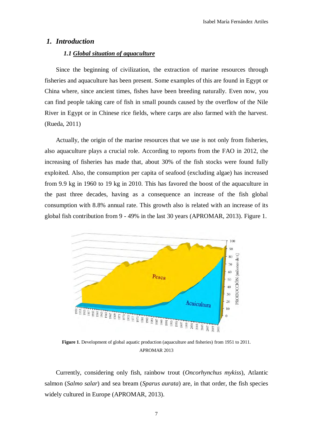#### *1. Introduction*

#### *1.1 Global situation of aquaculture*

Since the beginning of civilization, the extraction of marine resources through fisheries and aquaculture has been present. Some examples of this are found in Egypt or China where, since ancient times, fishes have been breeding naturally. Even now, you can find people taking care of fish in small pounds caused by the overflow of the Nile River in Egypt or in Chinese rice fields, where carps are also farmed with the harvest. (Rueda, 2011)

Actually, the origin of the marine resources that we use is not only from fisheries, also aquaculture plays a crucial role. According to reports from the FAO in 2012, the increasing of fisheries has made that, about 30% of the fish stocks were found fully exploited. Also, the consumption per capita of seafood (excluding algae) has increased from 9.9 kg in 1960 to 19 kg in 2010. This has favored the boost of the aquaculture in the past three decades, having as a consequence an increase of the fish global consumption with 8.8% annual rate. This growth also is related with an increase of its global fish contribution from 9 - 49% in the last 30 years (APROMAR, 2013). Figure 1.



**Figure 1**. Development of global aquatic production (aquaculture and fisheries) from 1951 to 2011. APROMAR 2013

Currently, considering only fish, rainbow trout (*Oncorhynchus mykiss*), Atlantic salmon (*Salmo salar*) and sea bream (*Sparus aurata*) are, in that order, the fish species widely cultured in Europe (APROMAR, 2013).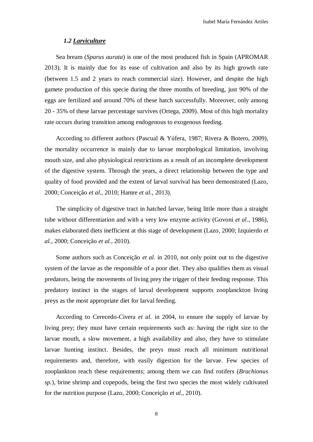#### *1.2 Larviculture*

Sea bream (*Sparus aurata*) is one of the most produced fish in Spain (APROMAR 2013). It is mainly due for its ease of cultivation and also by its high growth rate (between 1.5 and 2 years to reach commercial size). However, and despite the high gamete production of this specie during the three months of breeding, just 90% of the eggs are fertilized and around 70% of these hatch successfully. Moreover, only among 20 - 35% of these larvae percentage survives (Ortega, 2009). Most of this high mortality rate occurs during transition among endogenous to exogenous feeding.

According to different authors (Pascual & Yúfera, 1987; Rivera & Botero, 2009), the mortality occurrence is mainly due to larvae morphological limitation, involving mouth size, and also physiological restrictions as a result of an incomplete development of the digestive system. Through the years, a direct relationship between the type and quality of food provided and the extent of larval survival has been demonstrated (Lazo, 2000; Conceição *et al.*, 2010; Hamre *et al.*, 2013).

The simplicity of digestive tract in hatched larvae, being little more than a straight tube without differentiation and with a very low enzyme activity (Govoni *et al*., 1986), makes elaborated diets inefficient at this stage of development (Lazo, 2000; Izquierdo *et al.*, 2000; Conceição *et al.*, 2010).

Some authors such as Conceição *et al.* in 2010, not only point out to the digestive system of the larvae as the responsible of a poor diet. They also qualifies them as visual predators, being the movements of living prey the trigger of their feeding response. This predatory instinct in the stages of larval development supports zooplanckton living preys as the most appropriate diet for larval feeding.

According to Cerecedo-Civera *et al.* in 2004, to ensure the supply of larvae by living prey; they must have certain requirements such as: having the right size to the larvae mouth, a slow movement, a high availability and also, they have to stimulate larvae hunting instinct. Besides, the preys must reach all minimum nutritional requirements and, therefore, with easily digestion for the larvae. Few species of zooplankton reach these requirements; among them we can find rotifers (*Brachionus sp.*), brine shrimp and copepods, being the first two species the most widely cultivated for the nutrition purpose (Lazo, 2000; Conceição *et al.*, 2010).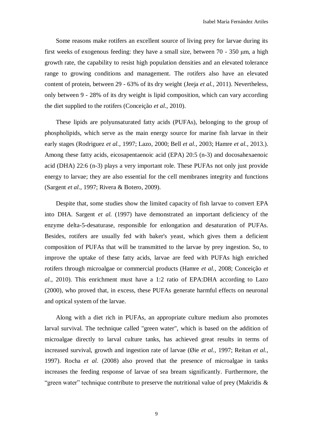Some reasons make rotifers an excellent source of living prey for larvae during its first weeks of exogenous feeding: they have a small size, between 70 - 350 μm, a high growth rate, the capability to resist high population densities and an elevated tolerance range to growing conditions and management. The rotifers also have an elevated content of protein, between 29 - 63% of its dry weight (Jeeja *et al.*, 2011). Nevertheless, only between 9 - 28% of its dry weight is lipid composition, which can vary according the diet supplied to the rotifers (Conceição *et al.*, 2010).

These lipids are polyunsaturated fatty acids (PUFAs), belonging to the group of phospholipids, which serve as the main energy source for marine fish larvae in their early stages (Rodriguez *et al.*, 1997; Lazo, 2000; Bell *et al.*, 2003; Hamre *et al.*, 2013.). Among these fatty acids, eicosapentaenoic acid (EPA) 20:5 (n-3) and docosahexaenoic acid (DHA) 22:6 (n-3) plays a very important role. These PUFAs not only just provide energy to larvae; they are also essential for the cell membranes integrity and functions (Sargent *et al.*, 1997; Rivera & Botero, 2009).

Despite that, some studies show the limited capacity of fish larvae to convert EPA into DHA. Sargent *et al.* (1997) have demonstrated an important deficiency of the enzyme delta-5-desaturase, responsible for enlongation and desaturation of PUFAs. Besides, rotifers are usually fed with baker's yeast, which gives them a deficient composition of PUFAs that will be transmitted to the larvae by prey ingestion. So, to improve the uptake of these fatty acids, larvae are feed with PUFAs high enriched rotifers through microalgae or commercial products (Hamre *et al.*, 2008; Conceição *et al.*, 2010). This enrichment must have a 1:2 ratio of EPA:DHA according to Lazo (2000), who proved that, in excess, these PUFAs generate harmful effects on neuronal and optical system of the larvae.

Along with a diet rich in PUFAs, an appropriate culture medium also promotes larval survival. The technique called "green water", which is based on the addition of microalgae directly to larval culture tanks, has achieved great results in terms of increased survival, growth and ingestion rate of larvae (Øie *et al.*, 1997; Reitan *et al.*, 1997). Rocha *et al.* (2008) also proved that the presence of microalgae in tanks increases the feeding response of larvae of sea bream significantly. Furthermore, the "green water" technique contribute to preserve the nutritional value of prey (Makridis  $\&$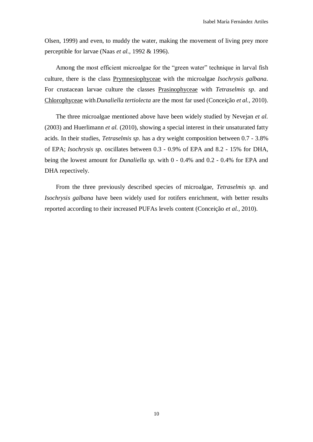Olsen, 1999) and even, to muddy the water, making the movement of living prey more perceptible for larvae (Naas *et al.*, 1992 & 1996).

Among the most efficient microalgae for the "green water" technique in larval fish culture, there is the class Prymnesiophyceae with the microalgae *Isochrysis galbana*. For crustacean larvae culture the classes Prasinophyceae with *Tetraselmis sp*. and Chlorophyceae with*Dunaliella tertiolecta* are the most far used (Conceição *et al.*, 2010).

The three microalgae mentioned above have been widely studied by Nevejan *et al.* (2003) and Huerlimann *et al.* (2010), showing a special interest in their unsaturated fatty acids. In their studies, *Tetraselmis sp.* has a dry weight composition between 0.7 - 3.8% of EPA; *Isochrysis sp.* oscillates between 0.3 - 0.9% of EPA and 8.2 - 15% for DHA, being the lowest amount for *Dunaliella sp.* with 0 - 0.4% and 0.2 - 0.4% for EPA and DHA repectively.

From the three previously described species of microalgae, *Tetraselmis sp.* and *Isochrysis galbana* have been widely used for rotifers enrichment, with better results reported according to their increased PUFAs levels content (Conceição *et al.*, 2010).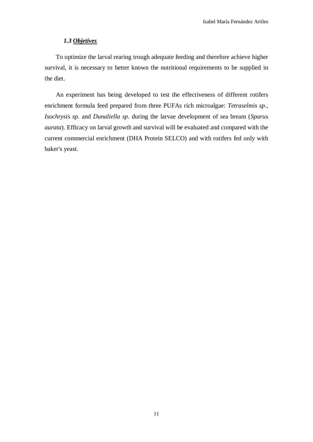#### *1.3 Objetives*

To optimize the larval rearing trough adequate feeding and therefore achieve higher survival, it is necessary to better known the nutritional requirements to be supplied in the diet.

An experiment has being developed to test the effectiveness of different rotifers enrichment formula feed prepared from three PUFAs rich microalgae: *Tetraselmis sp.*, *Isochrysis sp.* and *Dunaliella sp.* during the larvae development of sea bream (*Sparus aurata*). Efficacy on larval growth and survival will be evaluated and compared with the current commercial enrichment (DHA Protein SELCO) and with rotifers fed only with baker's yeast.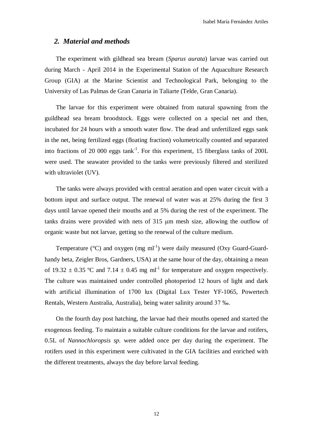#### *2. Material and methods*

The experiment with gildhead sea bream (*Sparus aurata*) larvae was carried out during March - April 2014 in the Experimental Station of the Aquaculture Research Group (GIA) at the Marine Scientist and Technological Park, belonging to the University of Las Palmas de Gran Canaria in Taliarte (Telde, Gran Canaria).

The larvae for this experiment were obtained from natural spawning from the guildhead sea bream broodstock. Eggs were collected on a special net and then, incubated for 24 hours with a smooth water flow. The dead and unfertilized eggs sank in the net, being fertilized eggs (floating fraction) volumetrically counted and separated into fractions of 20 000 eggs tank<sup>-1</sup>. For this experiment, 15 fiberglass tanks of 200L were used. The seawater provided to the tanks were previously filtered and sterilized with ultraviolet (UV).

The tanks were always provided with central aeration and open water circuit with a bottom input and surface output. The renewal of water was at 25% during the first 3 days until larvae opened their mouths and at 5% during the rest of the experiment. The tanks drains were provided with nets of 315 μm mesh size, allowing the outflow of organic waste but not larvae, getting so the renewal of the culture medium.

Temperature ( $^{\circ}$ C) and oxygen (mg ml<sup>-1</sup>) were daily measured (Oxy Guard-Guardhandy beta, Zeigler Bros, Gardners, USA) at the same hour of the day, obtaining a mean of 19.32  $\pm$  0.35 °C and 7.14  $\pm$  0.45 mg ml<sup>-1</sup> for temperature and oxygen respectively. The culture was maintained under controlled photoperiod 12 hours of light and dark with artificial illumination of 1700 lux (Digital Lux Tester YF-1065, Powertech Rentals, Western Australia, Australia), being water salinity around 37 ‰.

On the fourth day post hatching, the larvae had their mouths opened and started the exogenous feeding. To maintain a suitable culture conditions for the larvae and rotifers, 0.5L of *Nannochloropsis sp.* were added once per day during the experiment. The rotifers used in this experiment were cultivated in the GIA facilities and enriched with the different treatments, always the day before larval feeding.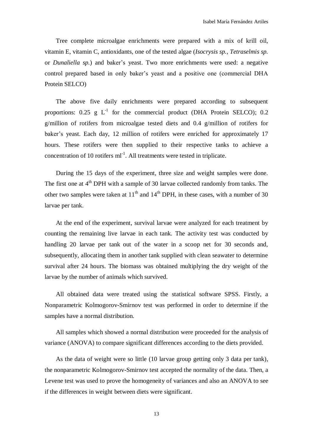Tree complete microalgae enrichments were prepared with a mix of krill oil, vitamin E, vitamin C, antioxidants, one of the tested algae (*Isocrysis sp.*, *Tetraselmis sp.* or *Dunaliella sp.*) and baker's yeast. Two more enrichments were used: a negative control prepared based in only baker's yeast and a positive one (commercial DHA Protein SELCO)

The above five daily enrichments were prepared according to subsequent proportions:  $0.25 \text{ g L}^{-1}$  for the commercial product (DHA Protein SELCO); 0.2 g/million of rotifers from microalgae tested diets and 0.4 g/million of rotifers for baker's yeast. Each day, 12 million of rotifers were enriched for approximately 17 hours. These rotifers were then supplied to their respective tanks to achieve a concentration of 10 rotifers  $ml^{-1}$ . All treatments were tested in triplicate.

During the 15 days of the experiment, three size and weight samples were done. The first one at  $4<sup>th</sup>$  DPH with a sample of 30 larvae collected randomly from tanks. The other two samples were taken at  $11<sup>th</sup>$  and  $14<sup>th</sup>$  DPH, in these cases, with a number of 30 larvae per tank.

At the end of the experiment, survival larvae were analyzed for each treatment by counting the remaining live larvae in each tank. The activity test was conducted by handling 20 larvae per tank out of the water in a scoop net for 30 seconds and, subsequently, allocating them in another tank supplied with clean seawater to determine survival after 24 hours. The biomass was obtained multiplying the dry weight of the larvae by the number of animals which survived.

All obtained data were treated using the statistical software SPSS. Firstly, a Nonparametric Kolmogorov-Smirnov test was performed in order to determine if the samples have a normal distribution.

All samples which showed a normal distribution were proceeded for the analysis of variance (ANOVA) to compare significant differences according to the diets provided.

As the data of weight were so little (10 larvae group getting only 3 data per tank), the nonparametric Kolmogorov-Smirnov test accepted the normality of the data. Then, a Levene test was used to prove the homogeneity of variances and also an ANOVA to see if the differences in weight between diets were significant.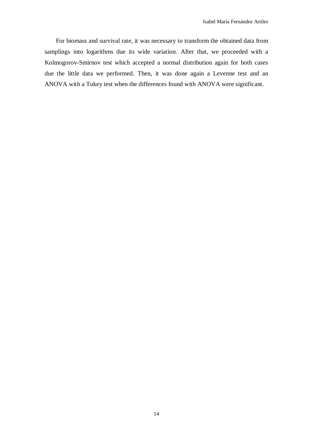For biomass and survival rate, it was necessary to transform the obtained data from samplings into logarithms due its wide variation. After that, we proceeded with a Kolmogorov-Smirnov test which accepted a normal distribution again for both cases due the little data we performed. Then, it was done again a Levenne test and an ANOVA with a Tukey test when the differences found with ANOVA were significant.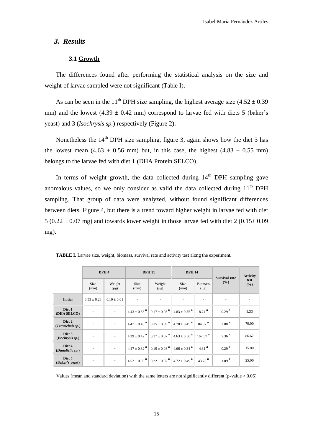### *3. Results*

### **3.1 Growth**

The differences found after performing the statistical analysis on the size and weight of larvae sampled were not significant (Table I).

As can be seen in the 11<sup>th</sup> DPH size sampling, the highest average size  $(4.52 \pm 0.39)$ mm) and the lowest  $(4.39 \pm 0.42 \text{ mm})$  correspond to larvae fed with diets 5 (baker's yeast) and 3 (*Isochrysis sp.*) respectively (Figure 2).

Nonetheless the  $14<sup>th</sup>$  DPH size sampling, figure 3, again shows how the diet 3 has the lowest mean  $(4.63 \pm 0.56 \text{ mm})$  but, in this case, the highest  $(4.83 \pm 0.55 \text{ mm})$ belongs to the larvae fed with diet 1 (DHA Protein SELCO).

In terms of weight growth, the data collected during  $14<sup>th</sup>$  DPH sampling gave anomalous values, so we only consider as valid the data collected during  $11<sup>th</sup> DPH$ sampling. That group of data were analyzed, without found significant differences between diets, Figure 4, but there is a trend toward higher weight in larvae fed with diet  $5 (0.22 \pm 0.07 \text{ mg})$  and towards lower weight in those larvae fed with diet  $2 (0.15 \pm 0.09 \text{ m})$ mg).

| DPH <sub>4</sub>            |                          | <b>DPH 11</b>            |                            | <b>DPH 14</b>                                                                                                                                           |                              | <b>Survival rate</b>        | <b>Activity</b>          |             |
|-----------------------------|--------------------------|--------------------------|----------------------------|---------------------------------------------------------------------------------------------------------------------------------------------------------|------------------------------|-----------------------------|--------------------------|-------------|
|                             | <b>Size</b><br>(mm)      | Weight<br>$(\mu g)$      | <b>Size</b><br>(mm)        | Weight<br>$(\mu g)$                                                                                                                                     | <b>Size</b><br>(mm)          | <b>Biomass</b><br>$(\mu g)$ | $($ %)                   | test<br>(%) |
| <b>Initial</b>              | $3.53 \pm 0.23$          | $0.10 \pm 0.01$          | $\overline{\phantom{a}}$   | $\sim$                                                                                                                                                  | ۰                            | ٠                           | $\overline{\phantom{a}}$ |             |
| Diet 1<br>(DHA SELCO)       | ٠                        |                          |                            | $4.43 \pm 0.33$ <sup>a</sup> $\parallel$ 0.17 $\pm$ 0.08 <sup>a</sup>                                                                                   | $4.83 \pm 0.55$ <sup>a</sup> | $8.74^{a}$                  | 0.29 <sup>b</sup>        | 8.33        |
| Diet 2<br>(Tetraselmis sp.) | $\overline{\phantom{a}}$ | $\overline{\phantom{a}}$ | $4.47 + 0.40^{a}$          | $\ $ 0.15 $\pm$ 0.09 <sup>a</sup>                                                                                                                       | $4.78 \pm 0.45$ <sup>a</sup> | 84.07 <sup>a</sup>          | $2.88^{a}$               | 70.00       |
| Diet 3<br>(Isochrysis sp.)  | $\overline{\phantom{a}}$ | $\overline{\phantom{a}}$ |                            | $4.39 \pm 0.42$ <sup>a</sup> $\parallel$ 0.17 $\pm$ 0.07 <sup>a</sup> $\parallel$ 4.63 $\pm$ 0.56 <sup>a</sup> $\parallel$ 167.57 <sup>a</sup>          |                              |                             | $7.36^{a}$               | 86.67       |
| Diet 4<br>(Dunaliella sp.)  | $\overline{\phantom{a}}$ | $\overline{\phantom{a}}$ | $4.47 + 0.32$ <sup>a</sup> | $0.19 \pm 0.08$ <sup>a</sup>                                                                                                                            | $4.66 \pm 0.34$ <sup>a</sup> | 4.31 $^{a}$                 | 0.29 <sup>b</sup>        | 15.00       |
| Diet 5<br>(Baker's yeast)   | $\overline{\phantom{a}}$ | $\overline{\phantom{a}}$ |                            | $4.52 \pm 0.39$ $\stackrel{\text{a}}{=} \left[ 0.22 \pm 0.07 \stackrel{\text{a}}{=} \right] 4.72 \pm 0.49$ $\stackrel{\text{a}}{=} \left[ 0.19 \right]$ |                              | 43.78 $^{a}$                | 1.89 <sup>a</sup>        | 25.00       |

**TABLE I**. Larvae size, weight, biomass, survival rate and activity test along the experiment.

Values (mean and standard deviation) with the same letters are not significantly different (p-value > 0.05)

#### 15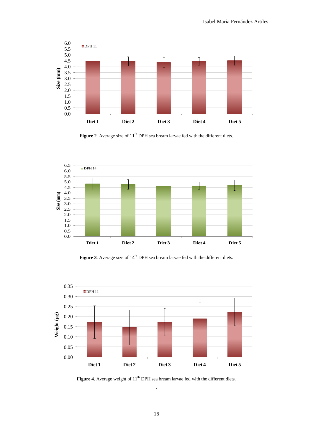

Figure 2. Average size of 11<sup>th</sup> DPH sea bream larvae fed with the different diets.



Figure 3. Average size of 14<sup>th</sup> DPH sea bream larvae fed with the different diets.



Figure 4. Average weight of 11<sup>th</sup> DPH sea bream larvae fed with the different diets. *.*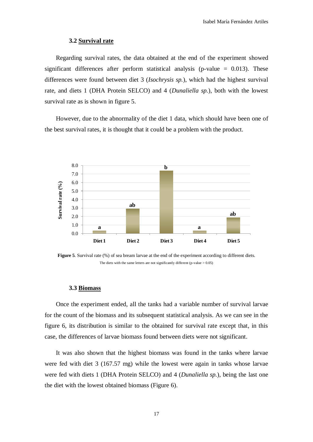#### **3.2 Survival rate**

Regarding survival rates, the data obtained at the end of the experiment showed significant differences after perform statistical analysis (p-value  $= 0.013$ ). These differences were found between diet 3 (*Isochrysis sp.*), which had the highest survival rate, and diets 1 (DHA Protein SELCO) and 4 (*Dunaliella sp.*), both with the lowest survival rate as is shown in figure 5.

However, due to the abnormality of the diet 1 data, which should have been one of the best survival rates, it is thought that it could be a problem with the product.



**Figure 5**. Survival rate (%) of sea bream larvae at the end of the experiment according to different diets. The diets with the same letters are not significantly different (p-value  $> 0.05$ )

#### **3.3 Biomass**

Once the experiment ended, all the tanks had a variable number of survival larvae for the count of the biomass and its subsequent statistical analysis. As we can see in the figure 6, its distribution is similar to the obtained for survival rate except that, in this case, the differences of larvae biomass found between diets were not significant.

It was also shown that the highest biomass was found in the tanks where larvae were fed with diet 3 (167.57 mg) while the lowest were again in tanks whose larvae were fed with diets 1 (DHA Protein SELCO) and 4 (*Dunaliella sp.*), being the last one the diet with the lowest obtained biomass (Figure 6).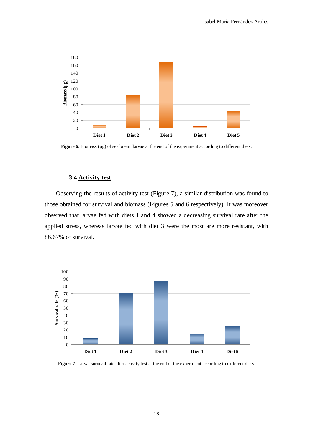

Figure 6. Biomass (µg) of sea bream larvae at the end of the experiment according to different diets.

#### **3.4 Activity test**

Observing the results of activity test (Figure 7), a similar distribution was found to those obtained for survival and biomass (Figures 5 and 6 respectively). It was moreover observed that larvae fed with diets 1 and 4 showed a decreasing survival rate after the applied stress, whereas larvae fed with diet 3 were the most are more resistant, with 86.67% of survival.



**Figure 7**. Larval survival rate after activity test at the end of the experiment according to different diets.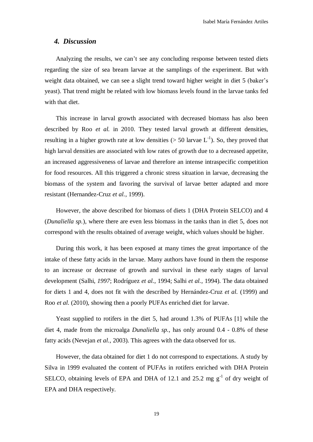### *4. Discussion*

Analyzing the results, we can't see any concluding response between tested diets regarding the size of sea bream larvae at the samplings of the experiment. But with weight data obtained, we can see a slight trend toward higher weight in diet 5 (baker's yeast). That trend might be related with low biomass levels found in the larvae tanks fed with that diet.

This increase in larval growth associated with decreased biomass has also been described by Roo *et al.* in 2010. They tested larval growth at different densities, resulting in a higher growth rate at low densities ( $> 50$  larvae L<sup>-1</sup>). So, they proved that high larval densities are associated with low rates of growth due to a decreased appetite, an increased aggressiveness of larvae and therefore an intense intraspecific competition for food resources. All this triggered a chronic stress situation in larvae, decreasing the biomass of the system and favoring the survival of larvae better adapted and more resistant (Hernandez-Cruz *et al.*, 1999).

However, the above described for biomass of diets 1 (DHA Protein SELCO) and 4 (*Dunaliella sp.*), where there are even less biomass in the tanks than in diet 5, does not correspond with the results obtained of average weight, which values should be higher.

During this work, it has been exposed at many times the great importance of the intake of these fatty acids in the larvae. Many authors have found in them the response to an increase or decrease of growth and survival in these early stages of larval development (Salhi, *1997*; Rodríguez *et al.*, 1994; Salhi *et al.*, 1994). The data obtained for diets 1 and 4, does not fit with the described by Hernández-Cruz *et al.* (1999) and Roo *et al.* (2010), showing then a poorly PUFAs enriched diet for larvae.

Yeast supplied to rotifers in the diet 5, had around 1.3% of PUFAs [1] while the diet 4, made from the microalga *Dunaliella sp.*, has only around 0.4 - 0.8% of these fatty acids (Nevejan *et al.*, 2003). This agrees with the data observed for us.

However, the data obtained for diet 1 do not correspond to expectations. A study by Silva in 1999 evaluated the content of PUFAs in rotifers enriched with DHA Protein SELCO, obtaining levels of EPA and DHA of 12.1 and 25.2 mg  $g^{-1}$  of dry weight of EPA and DHA respectively.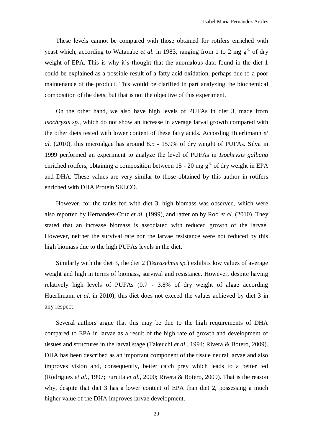These levels cannot be compared with those obtained for rotifers enriched with yeast which, according to Watanabe *et al.* in 1983, ranging from 1 to 2 mg  $g^{-1}$  of dry weight of EPA. This is why it's thought that the anomalous data found in the diet 1 could be explained as a possible result of a fatty acid oxidation, perhaps due to a poor maintenance of the product. This would be clarified in part analyzing the biochemical composition of the diets, but that is not the objective of this experiment.

On the other hand, we also have high levels of PUFAs in diet 3, made from *Isochrysis sp.*, which do not show an increase in average larval growth compared with the other diets tested with lower content of these fatty acids. According Huerlimann *et al.* (2010), this microalgae has around 8.5 - 15.9% of dry weight of PUFAs. Silva in 1999 performed an experiment to analyze the level of PUFAs in *Isochrysis galbana* enriched rotifers, obtaining a composition between 15 - 20 mg  $g^{-1}$  of dry weight in EPA and DHA. These values are very similar to those obtained by this author in rotifers enriched with DHA Protein SELCO.

However, for the tanks fed with diet 3, high biomass was observed, which were also reported by Hernandez-Cruz *et al.* (1999), and latter on by Roo *et al.* (2010). They stated that an increase biomass is associated with reduced growth of the larvae. However, neither the survival rate nor the larvae resistance were not reduced by this high biomass due to the high PUFAs levels in the diet.

Similarly with the diet 3, the diet 2 (*Tetraselmis sp.*) exhibits low values of average weight and high in terms of biomass, survival and resistance. However, despite having relatively high levels of PUFAs (0.7 - 3.8% of dry weight of algae according Huerlimann *et al*. in 2010), this diet does not exceed the values achieved by diet 3 in any respect.

Several authors argue that this may be due to the high requirements of DHA compared to EPA in larvae as a result of the high rate of growth and development of tissues and structures in the larval stage (Takeuchi *et al.*, 1994; Rivera & Botero, 2009). DHA has been described as an important component of the tissue neural larvae and also improves vision and, consequently, better catch prey which leads to a better fed (Rodriguez *et al.*, 1997; Furuita *et al.*, 2000; Rivera & Botero, 2009). That is the reason why, despite that diet 3 has a lower content of EPA than diet 2, possessing a much higher value of the DHA improves larvae development.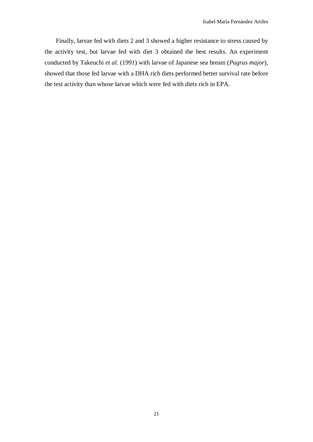Finally, larvae fed with diets 2 and 3 showed a higher resistance to stress caused by the activity test, but larvae fed with diet 3 obtained the best results. An experiment conducted by Takeuchi *et al.* (1991) with larvae of Japanese sea bream (*Pagrus major*), showed that those fed larvae with a DHA rich diets performed better survival rate before the test activity than whose larvae which were fed with diets rich in EPA.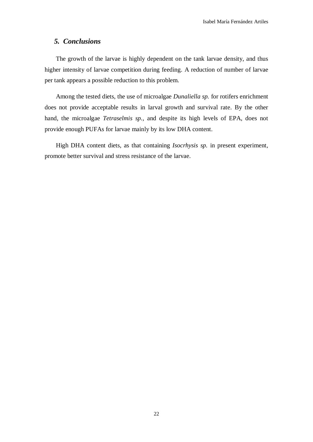## *5. Conclusions*

The growth of the larvae is highly dependent on the tank larvae density, and thus higher intensity of larvae competition during feeding. A reduction of number of larvae per tank appears a possible reduction to this problem.

Among the tested diets, the use of microalgae *Dunaliella sp.* for rotifers enrichment does not provide acceptable results in larval growth and survival rate. By the other hand, the microalgae *Tetraselmis sp.,* and despite its high levels of EPA, does not provide enough PUFAs for larvae mainly by its low DHA content.

High DHA content diets, as that containing *Isocrhysis sp.* in present experiment, promote better survival and stress resistance of the larvae.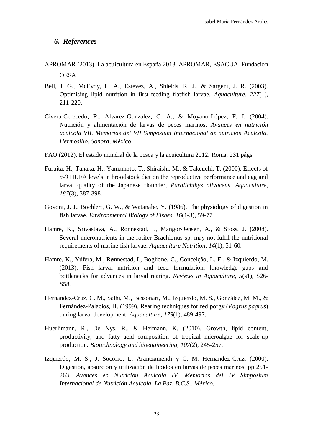### *6. References*

- APROMAR (2013). La acuicultura en España 2013. APROMAR, ESACUA, Fundación **OESA**
- Bell, J. G., McEvoy, L. A., Estevez, A., Shields, R. J., & Sargent, J. R. (2003). Optimising lipid nutrition in first-feeding flatfish larvae. *Aquaculture*, *227*(1), 211-220.
- Civera-Cerecedo, R., Alvarez-González, C. A., & Moyano-López, F. J. (2004). Nutrición y alimentación de larvas de peces marinos. *Avances en nutrición acuícola VII. Memorias del VII Simposium Internacional de nutrición Acuícola, Hermosillo, Sonora, México*.
- FAO (2012). El estado mundial de la pesca y la acuicultura 2012. Roma. 231 págs.
- Furuita, H., Tanaka, H., Yamamoto, T., Shiraishi, M., & Takeuchi, T. (2000). Effects of *n-3* HUFA levels in broodstock diet on the reproductive performance and egg and larval quality of the Japanese flounder, *Paralichthys olivaceus*. *Aquaculture*, *187*(3), 387-398.
- Govoni, J. J., Boehlert, G. W., & Watanabe, Y. (1986). The physiology of digestion in fish larvae. *Environmental Biology of Fishes*, *16*(1-3), 59-77
- Hamre, K., Srivastava, A., Rønnestad, I., Mangor‐Jensen, A., & Stoss, J. (2008). Several micronutrients in the rotifer Brachionus sp. may not fulfil the nutritional requirements of marine fish larvae. *Aquaculture Nutrition*, *14*(1), 51-60.
- Hamre, K., Yúfera, M., Rønnestad, I., Boglione, C., Conceição, L. E., & Izquierdo, M. (2013). Fish larval nutrition and feed formulation: knowledge gaps and bottlenecks for advances in larval rearing. *Reviews in Aquaculture*, *5*(s1), S26- S58.
- Hernández-Cruz, C. M., Salhi, M., Bessonart, M., Izquierdo, M. S., González, M. M., & Fernández-Palacios, H. (1999). Rearing techniques for red porgy (*Pagrus pagrus*) during larval development. *Aquaculture*, *179*(1), 489-497.
- Huerlimann, R., De Nys, R., & Heimann, K. (2010). Growth, lipid content, productivity, and fatty acid composition of tropical microalgae for scale‐up production. *Biotechnology and bioengineering*, *107*(2), 245-257.
- Izquierdo, M. S., J. Socorro, L. Arantzamendi y C. M. Hernández-Cruz. (2000). Digestión, absorción y utilización de lípidos en larvas de peces marinos. pp 251- 263. *Avances en Nutrición Acuícola IV. Memorias del IV Simposium Internacional de Nutrición Acuícola. La Paz, B.C.S., México.*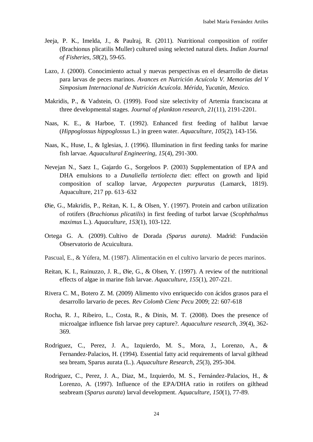- Jeeja, P. K., Imelda, J., & Paulraj, R. (2011). Nutritional composition of rotifer (Brachionus plicatilis Muller) cultured using selected natural diets. *Indian Journal of Fisheries*, *58*(2), 59-65.
- Lazo, J. (2000). Conocimiento actual y nuevas perspectivas en el desarrollo de dietas para larvas de peces marinos. *Avances en Nutrición Acuícola V. Memorias del V Simposium Internacional de Nutrición Acuícola. Mérida, Yucatán, Mexico.*
- Makridis, P., & Vadstein, O. (1999). Food size selectivity of Artemia franciscana at three developmental stages. *Journal of plankton research*, *21*(11), 2191-2201.
- Naas, K. E., & Harboe, T. (1992). Enhanced first feeding of halibut larvae (*Hippoglossus hippoglossus* L.) in green water. *Aquaculture*, *105*(2), 143-156.
- Naas, K., Huse, I., & Iglesias, J. (1996). Illumination in first feeding tanks for marine fish larvae. *Aquacultural Engineering*, *15*(4), 291-300.
- Nevejan N., Saez I., Gajardo G., Sorgeloos P. (2003) Supplementation of EPA and DHA emulsions to a *Dunaliella tertiolecta* diet: effect on growth and lipid composition of scallop larvae, *Argopecten purpuratus* (Lamarck, 1819). Aquaculture, 217 pp. 613–632
- Øie, G., Makridis, P., Reitan, K. I., & Olsen, Y. (1997). Protein and carbon utilization of rotifers (*Brachionus plicatilis*) in first feeding of turbot larvae (*Scophthalmus maximus* L.). *Aquaculture*, *153*(1), 103-122.
- Ortega G. A. (2009). Cultivo de Dorada *(Sparus aurata)*. Madrid: Fundación Observatorio de Acuicultura.
- Pascual, E., & Yúfera, M. (1987). Alimentación en el cultivo larvario de peces marinos.
- Reitan, K. I., Rainuzzo, J. R., Øie, G., & Olsen, Y. (1997). A review of the nutritional effects of algae in marine fish larvae. *Aquaculture*, *155*(1), 207-221.
- Rivera C. M., Botero Z. M. (2009) Alimento vivo enriquecido con ácidos grasos para el desarrollo larvario de peces. *Rev Colomb Cienc Pecu* 2009; 22: 607-618
- Rocha, R. J., Ribeiro, L., Costa, R., & Dinis, M. T. (2008). Does the presence of microalgae influence fish larvae prey capture?. *Aquaculture research*, *39*(4), 362- 369.
- Rodriguez, C., Perez, J. A., Izquierdo, M. S., Mora, J., Lorenzo, A., & Fernandez‐Palacios, H. (1994). Essential fatty acid requirements of larval gilthead sea bream, Sparus aurata (L.). *Aquaculture Research*, *25*(3), 295-304.
- Rodriguez, C., Perez, J. A., Diaz, M., Izquierdo, M. S., Fernández-Palacios, H., & Lorenzo, A. (1997). Influence of the EPA/DHA ratio in rotifers on gilthead seabream (*Sparus aurata*) larval development. *Aquaculture*, *150*(1), 77-89.